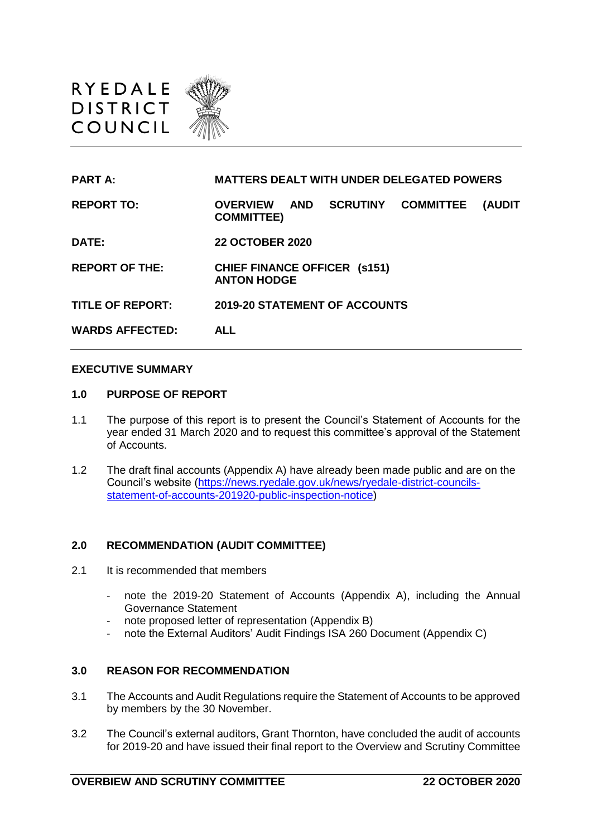

| <b>PART A:</b>          | <b>MATTERS DEALT WITH UNDER DELEGATED POWERS</b>                                                            |
|-------------------------|-------------------------------------------------------------------------------------------------------------|
| <b>REPORT TO:</b>       | <b>SCRUTINY</b><br><b>OVERVIEW</b><br><b>COMMITTEE</b><br><b>AND</b><br><b>(AUDIT)</b><br><b>COMMITTEE)</b> |
| DATE:                   | <b>22 OCTOBER 2020</b>                                                                                      |
| <b>REPORT OF THE:</b>   | <b>CHIEF FINANCE OFFICER (S151)</b><br><b>ANTON HODGE</b>                                                   |
| <b>TITLE OF REPORT:</b> | 2019-20 STATEMENT OF ACCOUNTS                                                                               |
| <b>WARDS AFFECTED:</b>  | <b>ALL</b>                                                                                                  |

## **EXECUTIVE SUMMARY**

#### **1.0 PURPOSE OF REPORT**

- 1.1 The purpose of this report is to present the Council's Statement of Accounts for the year ended 31 March 2020 and to request this committee's approval of the Statement of Accounts.
- 1.2 The draft final accounts (Appendix A) have already been made public and are on the Council's website [\(https://news.ryedale.gov.uk/news/ryedale-district-councils](https://news.ryedale.gov.uk/news/ryedale-district-councils-statement-of-accounts-201920-public-inspection-notice)[statement-of-accounts-201920-public-inspection-notice\)](https://news.ryedale.gov.uk/news/ryedale-district-councils-statement-of-accounts-201920-public-inspection-notice)

## **2.0 RECOMMENDATION (AUDIT COMMITTEE)**

- 2.1 It is recommended that members
	- note the 2019-20 Statement of Accounts (Appendix A), including the Annual Governance Statement
	- note proposed letter of representation (Appendix B)
	- note the External Auditors' Audit Findings ISA 260 Document (Appendix C)

### **3.0 REASON FOR RECOMMENDATION**

- 3.1 The Accounts and Audit Regulations require the Statement of Accounts to be approved by members by the 30 November.
- 3.2 The Council's external auditors, Grant Thornton, have concluded the audit of accounts for 2019-20 and have issued their final report to the Overview and Scrutiny Committee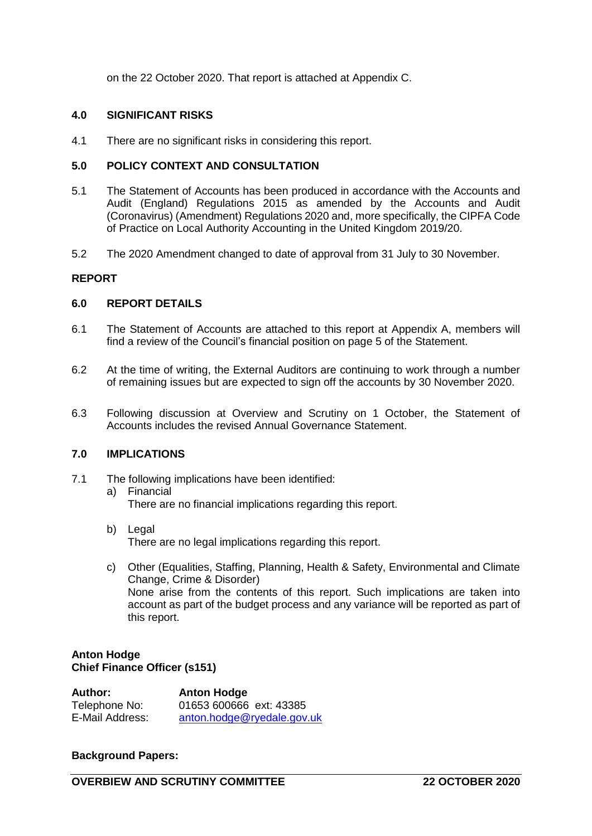on the 22 October 2020. That report is attached at Appendix C.

### **4.0 SIGNIFICANT RISKS**

4.1 There are no significant risks in considering this report.

## **5.0 POLICY CONTEXT AND CONSULTATION**

- 5.1 The Statement of Accounts has been produced in accordance with the Accounts and Audit (England) Regulations 2015 as amended by the Accounts and Audit (Coronavirus) (Amendment) Regulations 2020 and, more specifically, the CIPFA Code of Practice on Local Authority Accounting in the United Kingdom 2019/20.
- 5.2 The 2020 Amendment changed to date of approval from 31 July to 30 November.

# **REPORT**

## **6.0 REPORT DETAILS**

- 6.1 The Statement of Accounts are attached to this report at Appendix A, members will find a review of the Council's financial position on page 5 of the Statement.
- 6.2 At the time of writing, the External Auditors are continuing to work through a number of remaining issues but are expected to sign off the accounts by 30 November 2020.
- 6.3 Following discussion at Overview and Scrutiny on 1 October, the Statement of Accounts includes the revised Annual Governance Statement.

### **7.0 IMPLICATIONS**

- 7.1 The following implications have been identified:
	- a) Financial There are no financial implications regarding this report.
	- b) Legal There are no legal implications regarding this report.
	- c) Other (Equalities, Staffing, Planning, Health & Safety, Environmental and Climate Change, Crime & Disorder) None arise from the contents of this report. Such implications are taken into account as part of the budget process and any variance will be reported as part of this report.

### **Anton Hodge Chief Finance Officer (s151)**

| Author:         | <b>Anton Hodge</b>         |
|-----------------|----------------------------|
| Telephone No:   | 01653 600666 ext: 43385    |
| E-Mail Address: | anton.hodge@ryedale.gov.uk |

#### **Background Papers:**